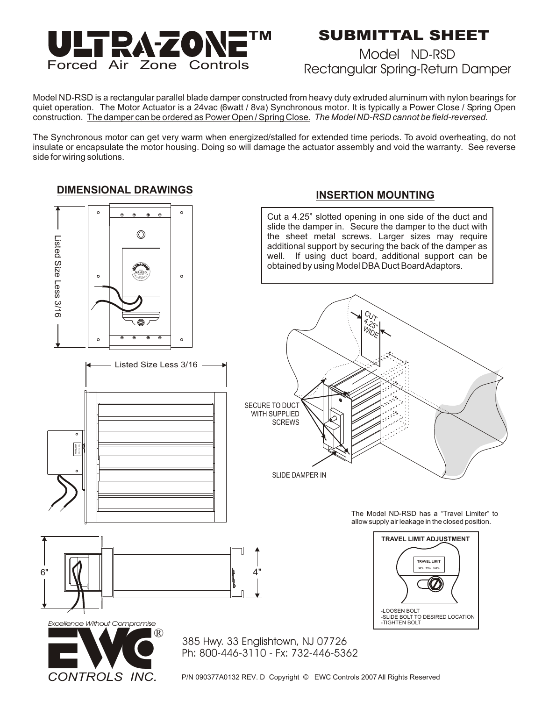

## **SUBMITTAL SHEET**

### Model ND-RSD Rectangular Spring-Return Damper

Model ND-RSD is a rectangular parallel blade damper constructed from heavy duty extruded aluminum with nylon bearings for quiet operation. The Motor Actuator is a 24vac (6watt / 8va) Synchronous motor. It is typically a Power Close / Spring Open construction. The damper can be ordered as Power Open / Spring Close. *The Model ND-RSD cannot be field-reversed.*

The Synchronous motor can get very warm when energized/stalled for extended time periods. To avoid overheating, do not insulate or encapsulate the motor housing. Doing so will damage the actuator assembly and void the warranty. See reverse side for wiring solutions.

#### **DIMENSIONAL DRAWINGS**



Listed Size Less 3/16

#### **INSERTION MOUNTING**

Cut a 4.25" slotted opening in one side of the duct and slide the damper in. Secure the damper to the duct with the sheet metal screws. Larger sizes may require additional support by securing the back of the damper as well. If using duct board, additional support can be obtained by using Model DBA Duct Board Adaptors.



The Model ND-RSD has a "Travel Limiter" to allow supply air leakage in the closed position.





*CONTROLS INC.*

**TRAVEL LIMIT 50% 75% 100%**

> 385 Hwy. 33 Englishtown, NJ 07726 Ph: 800-446-3110 - Fx: 732-446-5362

P/N 090377A0132 REV. D Copyright © EWC Controls 2007 All Rights Reserved